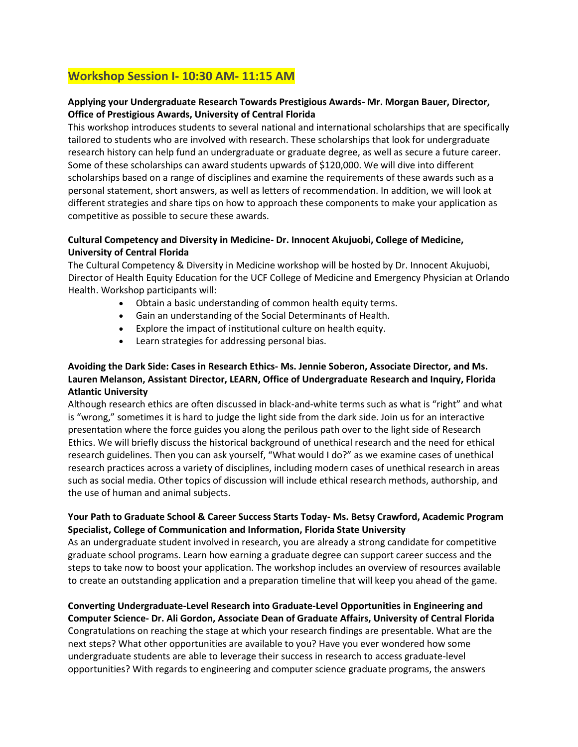### **Workshop Session I- 10:30 AM- 11:15 AM**

#### **Applying your Undergraduate Research Towards Prestigious Awards- Mr. Morgan Bauer, Director, Office of Prestigious Awards, University of Central Florida**

This workshop introduces students to several national and international scholarships that are specifically tailored to students who are involved with research. These scholarships that look for undergraduate research history can help fund an undergraduate or graduate degree, as well as secure a future career. Some of these scholarships can award students upwards of \$120,000. We will dive into different scholarships based on a range of disciplines and examine the requirements of these awards such as a personal statement, short answers, as well as letters of recommendation. In addition, we will look at different strategies and share tips on how to approach these components to make your application as competitive as possible to secure these awards.

#### **Cultural Competency and Diversity in Medicine- Dr. Innocent Akujuobi, College of Medicine, University of Central Florida**

The Cultural Competency & Diversity in Medicine workshop will be hosted by Dr. Innocent Akujuobi, Director of Health Equity Education for the UCF College of Medicine and Emergency Physician at Orlando Health. Workshop participants will:

- Obtain a basic understanding of common health equity terms.
- Gain an understanding of the Social Determinants of Health.
- Explore the impact of institutional culture on health equity.
- Learn strategies for addressing personal bias.

#### **Avoiding the Dark Side: Cases in Research Ethics- Ms. Jennie Soberon, Associate Director, and Ms. Lauren Melanson, Assistant Director, LEARN, Office of Undergraduate Research and Inquiry, Florida Atlantic University**

Although research ethics are often discussed in black-and-white terms such as what is "right" and what is "wrong," sometimes it is hard to judge the light side from the dark side. Join us for an interactive presentation where the force guides you along the perilous path over to the light side of Research Ethics. We will briefly discuss the historical background of unethical research and the need for ethical research guidelines. Then you can ask yourself, "What would I do?" as we examine cases of unethical research practices across a variety of disciplines, including modern cases of unethical research in areas such as social media. Other topics of discussion will include ethical research methods, authorship, and the use of human and animal subjects.

#### **Your Path to Graduate School & Career Success Starts Today- Ms. Betsy Crawford, Academic Program Specialist, College of Communication and Information, Florida State University**

As an undergraduate student involved in research, you are already a strong candidate for competitive graduate school programs. Learn how earning a graduate degree can support career success and the steps to take now to boost your application. The workshop includes an overview of resources available to create an outstanding application and a preparation timeline that will keep you ahead of the game.

## **Converting Undergraduate-Level Research into Graduate-Level Opportunities in Engineering and**

**Computer Science- Dr. Ali Gordon, Associate Dean of Graduate Affairs, University of Central Florida**  Congratulations on reaching the stage at which your research findings are presentable. What are the next steps? What other opportunities are available to you? Have you ever wondered how some undergraduate students are able to leverage their success in research to access graduate-level opportunities? With regards to engineering and computer science graduate programs, the answers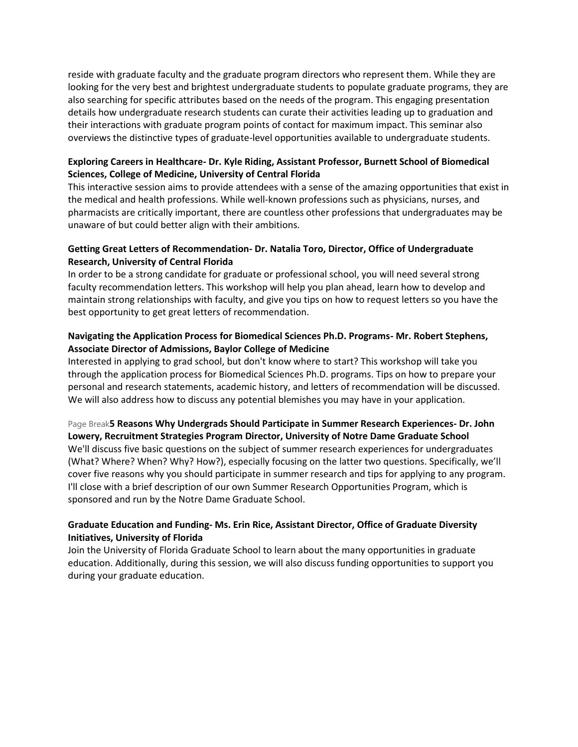reside with graduate faculty and the graduate program directors who represent them. While they are looking for the very best and brightest undergraduate students to populate graduate programs, they are also searching for specific attributes based on the needs of the program. This engaging presentation details how undergraduate research students can curate their activities leading up to graduation and their interactions with graduate program points of contact for maximum impact. This seminar also overviews the distinctive types of graduate-level opportunities available to undergraduate students.

#### **Exploring Careers in Healthcare- Dr. Kyle Riding, Assistant Professor, Burnett School of Biomedical Sciences, College of Medicine, University of Central Florida**

This interactive session aims to provide attendees with a sense of the amazing opportunities that exist in the medical and health professions. While well-known professions such as physicians, nurses, and pharmacists are critically important, there are countless other professions that undergraduates may be unaware of but could better align with their ambitions.

#### **Getting Great Letters of Recommendation- Dr. Natalia Toro, Director, Office of Undergraduate Research, University of Central Florida**

In order to be a strong candidate for graduate or professional school, you will need several strong faculty recommendation letters. This workshop will help you plan ahead, learn how to develop and maintain strong relationships with faculty, and give you tips on how to request letters so you have the best opportunity to get great letters of recommendation.

#### **Navigating the Application Process for Biomedical Sciences Ph.D. Programs- Mr. Robert Stephens, Associate Director of Admissions, Baylor College of Medicine**

Interested in applying to grad school, but don't know where to start? This workshop will take you through the application process for Biomedical Sciences Ph.D. programs. Tips on how to prepare your personal and research statements, academic history, and letters of recommendation will be discussed. We will also address how to discuss any potential blemishes you may have in your application.

#### Page Break**5 Reasons Why Undergrads Should Participate in Summer Research Experiences- Dr. John Lowery, Recruitment Strategies Program Director, University of Notre Dame Graduate School**

We'll discuss five basic questions on the subject of summer research experiences for undergraduates (What? Where? When? Why? How?), especially focusing on the latter two questions. Specifically, we'll cover five reasons why you should participate in summer research and tips for applying to any program. I'll close with a brief description of our own Summer Research Opportunities Program, which is sponsored and run by the Notre Dame Graduate School.

#### **Graduate Education and Funding- Ms. Erin Rice, Assistant Director, Office of Graduate Diversity Initiatives, University of Florida**

Join the University of Florida Graduate School to learn about the many opportunities in graduate education. Additionally, during this session, we will also discuss funding opportunities to support you during your graduate education.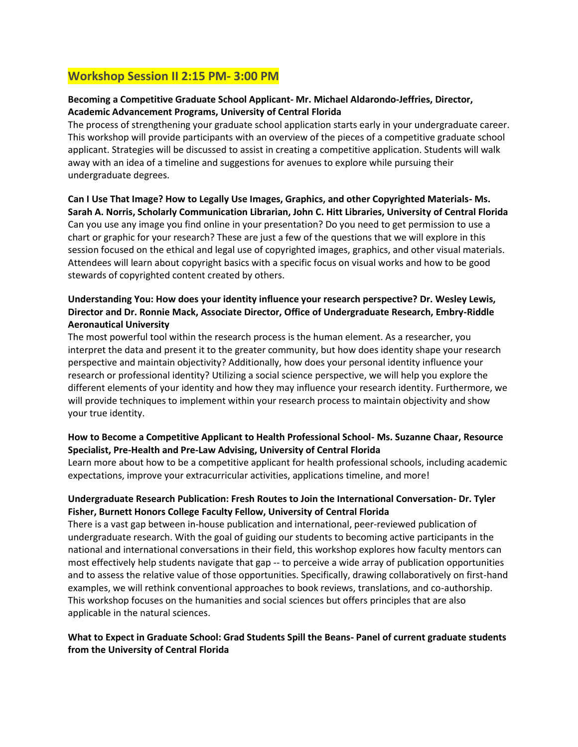### **Workshop Session II 2:15 PM- 3:00 PM**

#### **Becoming a Competitive Graduate School Applicant- Mr. Michael Aldarondo-Jeffries, Director, Academic Advancement Programs, University of Central Florida**

The process of strengthening your graduate school application starts early in your undergraduate career. This workshop will provide participants with an overview of the pieces of a competitive graduate school applicant. Strategies will be discussed to assist in creating a competitive application. Students will walk away with an idea of a timeline and suggestions for avenues to explore while pursuing their undergraduate degrees.

# **Can I Use That Image? How to Legally Use Images, Graphics, and other Copyrighted Materials- Ms.**

**Sarah A. Norris, Scholarly Communication Librarian, John C. Hitt Libraries, University of Central Florida** Can you use any image you find online in your presentation? Do you need to get permission to use a chart or graphic for your research? These are just a few of the questions that we will explore in this session focused on the ethical and legal use of copyrighted images, graphics, and other visual materials. Attendees will learn about copyright basics with a specific focus on visual works and how to be good stewards of copyrighted content created by others.

#### **Understanding You: How does your identity influence your research perspective? Dr. Wesley Lewis, Director and Dr. Ronnie Mack, Associate Director, Office of Undergraduate Research, Embry-Riddle Aeronautical University**

The most powerful tool within the research process is the human element. As a researcher, you interpret the data and present it to the greater community, but how does identity shape your research perspective and maintain objectivity? Additionally, how does your personal identity influence your research or professional identity? Utilizing a social science perspective, we will help you explore the different elements of your identity and how they may influence your research identity. Furthermore, we will provide techniques to implement within your research process to maintain objectivity and show your true identity.

#### **How to Become a Competitive Applicant to Health Professional School- Ms. Suzanne Chaar, Resource Specialist, Pre-Health and Pre-Law Advising, University of Central Florida**

Learn more about how to be a competitive applicant for health professional schools, including academic expectations, improve your extracurricular activities, applications timeline, and more!

#### **Undergraduate Research Publication: Fresh Routes to Join the International Conversation- Dr. Tyler Fisher, Burnett Honors College Faculty Fellow, University of Central Florida**

There is a vast gap between in-house publication and international, peer-reviewed publication of undergraduate research. With the goal of guiding our students to becoming active participants in the national and international conversations in their field, this workshop explores how faculty mentors can most effectively help students navigate that gap -- to perceive a wide array of publication opportunities and to assess the relative value of those opportunities. Specifically, drawing collaboratively on first-hand examples, we will rethink conventional approaches to book reviews, translations, and co-authorship. This workshop focuses on the humanities and social sciences but offers principles that are also applicable in the natural sciences.

#### **What to Expect in Graduate School: Grad Students Spill the Beans- Panel of current graduate students from the University of Central Florida**